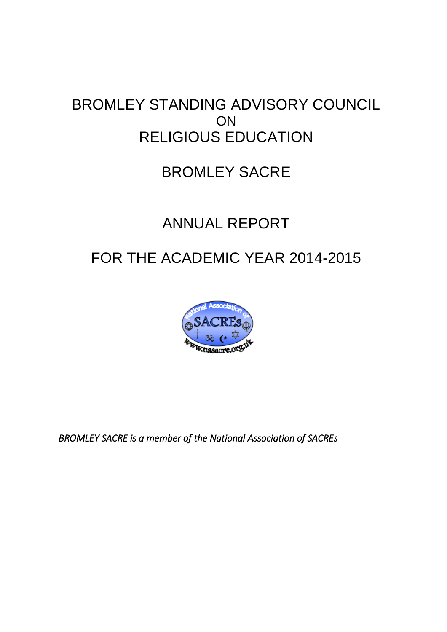# BROMLEY STANDING ADVISORY COUNCIL **ON** RELIGIOUS EDUCATION

# BROMLEY SACRE

# ANNUAL REPORT

# FOR THE ACADEMIC YEAR 2014-2015



*BROMLEY SACRE is a member of the National Association of SACREs*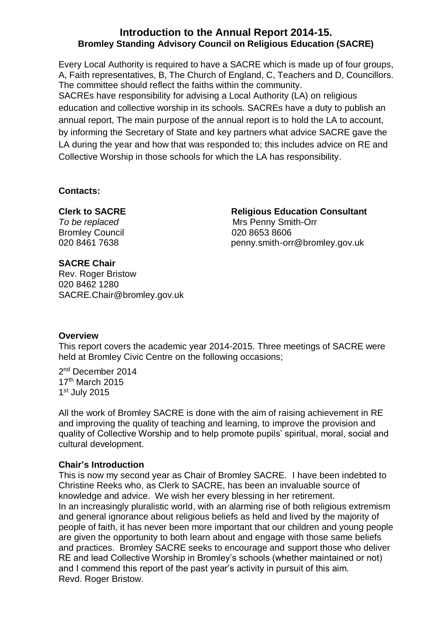#### **Introduction to the Annual Report 2014-15. Bromley Standing Advisory Council on Religious Education (SACRE)**

Every Local Authority is required to have a SACRE which is made up of four groups, A, Faith representatives, B, The Church of England, C, Teachers and D, Councillors. The committee should reflect the faiths within the community. SACREs have responsibility for advising a Local Authority (LA) on religious

education and collective worship in its schools. SACREs have a duty to publish an annual report, The main purpose of the annual report is to hold the LA to account, by informing the Secretary of State and key partners what advice SACRE gave the LA during the year and how that was responded to; this includes advice on RE and Collective Worship in those schools for which the LA has responsibility.

#### **Contacts:**

Bromley Council 020 8653 8606

#### **Clerk to SACRE Religious Education Consultant**

**To be replaced and To be replaced and To be replaced as a metally more in the Mrs Penny Smith-Orr** 020 8461 7638 penny.smith-orr@bromley.gov.uk

#### **SACRE Chair**

Rev. Roger Bristow 020 8462 1280 SACRE.Chair@bromley.gov.uk

#### **Overview**

This report covers the academic year 2014-2015. Three meetings of SACRE were held at Bromley Civic Centre on the following occasions;

2 nd December 2014 17th March 2015 1 st July 2015

All the work of Bromley SACRE is done with the aim of raising achievement in RE and improving the quality of teaching and learning, to improve the provision and quality of Collective Worship and to help promote pupils' spiritual, moral, social and cultural development.

#### **Chair's Introduction**

This is now my second year as Chair of Bromley SACRE. I have been indebted to Christine Reeks who, as Clerk to SACRE, has been an invaluable source of knowledge and advice. We wish her every blessing in her retirement. In an increasingly pluralistic world, with an alarming rise of both religious extremism and general ignorance about religious beliefs as held and lived by the majority of people of faith, it has never been more important that our children and young people are given the opportunity to both learn about and engage with those same beliefs and practices. Bromley SACRE seeks to encourage and support those who deliver RE and lead Collective Worship in Bromley's schools (whether maintained or not) and I commend this report of the past year's activity in pursuit of this aim. Revd. Roger Bristow.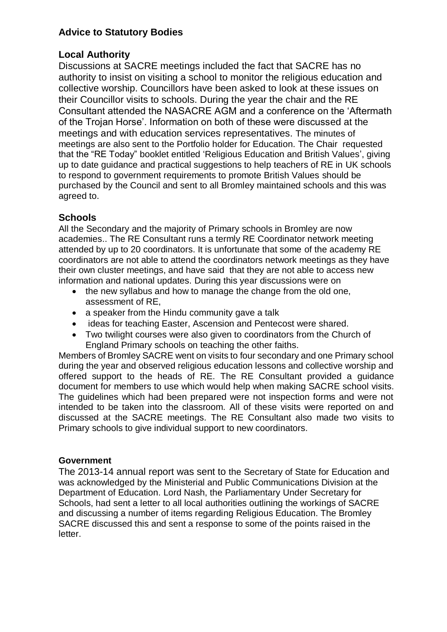### **Advice to Statutory Bodies**

### **Local Authority**

Discussions at SACRE meetings included the fact that SACRE has no authority to insist on visiting a school to monitor the religious education and collective worship. Councillors have been asked to look at these issues on their Councillor visits to schools. During the year the chair and the RE Consultant attended the NASACRE AGM and a conference on the 'Aftermath of the Trojan Horse'. Information on both of these were discussed at the meetings and with education services representatives. The minutes of meetings are also sent to the Portfolio holder for Education. The Chair requested that the "RE Today" booklet entitled 'Religious Education and British Values', giving up to date guidance and practical suggestions to help teachers of RE in UK schools to respond to government requirements to promote British Values should be purchased by the Council and sent to all Bromley maintained schools and this was agreed to.

## **Schools**

All the Secondary and the majority of Primary schools in Bromley are now academies.. The RE Consultant runs a termly RE Coordinator network meeting attended by up to 20 coordinators. It is unfortunate that some of the academy RE coordinators are not able to attend the coordinators network meetings as they have their own cluster meetings, and have said that they are not able to access new information and national updates. During this year discussions were on

- the new syllabus and how to manage the change from the old one, assessment of RE,
- a speaker from the Hindu community gave a talk
- ideas for teaching Easter, Ascension and Pentecost were shared.
- Two twilight courses were also given to coordinators from the Church of England Primary schools on teaching the other faiths.

Members of Bromley SACRE went on visits to four secondary and one Primary school during the year and observed religious education lessons and collective worship and offered support to the heads of RE. The RE Consultant provided a guidance document for members to use which would help when making SACRE school visits. The guidelines which had been prepared were not inspection forms and were not intended to be taken into the classroom. All of these visits were reported on and discussed at the SACRE meetings. The RE Consultant also made two visits to Primary schools to give individual support to new coordinators.

#### **Government**

The 2013-14 annual report was sent to the Secretary of State for Education and was acknowledged by the Ministerial and Public Communications Division at the Department of Education. Lord Nash, the Parliamentary Under Secretary for Schools, had sent a letter to all local authorities outlining the workings of SACRE and discussing a number of items regarding Religious Education. The Bromley SACRE discussed this and sent a response to some of the points raised in the letter.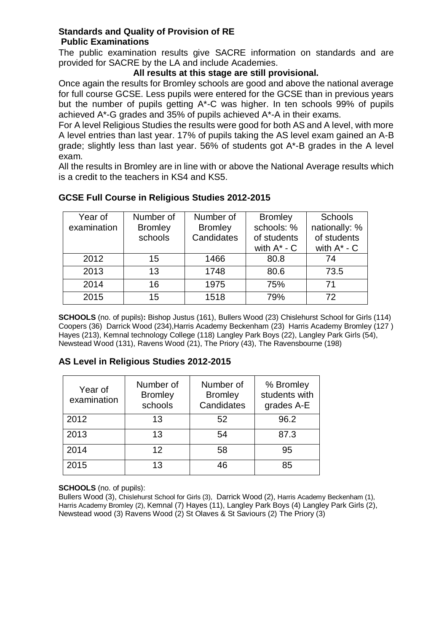#### **Standards and Quality of Provision of RE Public Examinations**

The public examination results give SACRE information on standards and are provided for SACRE by the LA and include Academies.

#### **All results at this stage are still provisional.**

Once again the results for Bromley schools are good and above the national average for full course GCSE. Less pupils were entered for the GCSE than in previous years but the number of pupils getting A\*-C was higher. In ten schools 99% of pupils achieved A\*-G grades and 35% of pupils achieved A\*-A in their exams.

For A level Religious Studies the results were good for both AS and A level, with more A level entries than last year. 17% of pupils taking the AS level exam gained an A-B grade; slightly less than last year. 56% of students got A\*-B grades in the A level exam.

All the results in Bromley are in line with or above the National Average results which is a credit to the teachers in KS4 and KS5.

| Year of     | Number of      | Number of      | <b>Bromley</b>   | Schools          |
|-------------|----------------|----------------|------------------|------------------|
| examination | <b>Bromley</b> | <b>Bromley</b> | schools: %       | nationally: %    |
|             | schools        | Candidates     | of students      | of students      |
|             |                |                | with $A^*$ - $C$ | with $A^*$ - $C$ |
| 2012        | 15             | 1466           | 80.8             | 74               |
| 2013        | 13             | 1748           | 80.6             | 73.5             |
| 2014        | 16             | 1975           | 75%              | 71               |
| 2015        | 15             | 1518           | 79%              | 72               |

#### **GCSE Full Course in Religious Studies 2012-2015**

**SCHOOLS** (no. of pupils)**:** Bishop Justus (161), Bullers Wood (23) Chislehurst School for Girls (114) Coopers (36) Darrick Wood (234),Harris Academy Beckenham (23) Harris Academy Bromley (127 ) Hayes (213), Kemnal technology College (118) Langley Park Boys (22), Langley Park Girls (54), Newstead Wood (131), Ravens Wood (21), The Priory (43), The Ravensbourne (198)

#### **AS Level in Religious Studies 2012-2015**

| Year of<br>examination | Number of<br><b>Bromley</b><br>schools | Number of<br><b>Bromley</b><br>Candidates | % Bromley<br>students with<br>grades A-E |
|------------------------|----------------------------------------|-------------------------------------------|------------------------------------------|
| 2012                   | 13                                     | 52                                        | 96.2                                     |
| 2013                   | 13                                     | 54                                        | 87.3                                     |
| 2014                   | 12                                     | 58                                        | 95                                       |
| 2015                   | 13                                     | 46                                        | 85                                       |

**SCHOOLS** (no. of pupils):

Bullers Wood (3), Chislehurst School for Girls (3), Darrick Wood (2), Harris Academy Beckenham (1), Harris Academy Bromley (2), Kemnal (7) Hayes (11), Langley Park Boys (4) Langley Park Girls (2), Newstead wood (3) Ravens Wood (2) St Olaves & St Saviours (2) The Priory (3)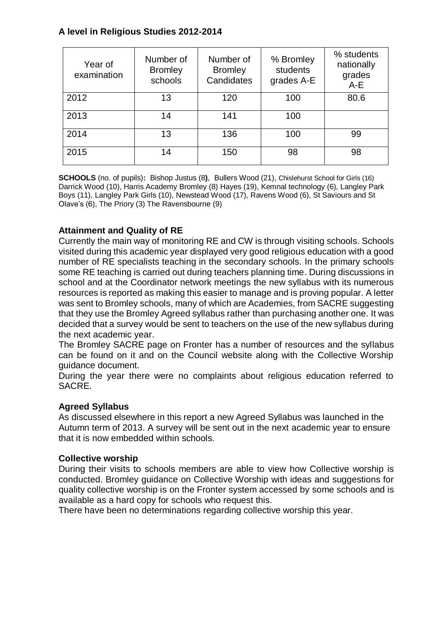### **A level in Religious Studies 2012-2014**

| Year of<br>examination | Number of<br><b>Bromley</b><br>schools | Number of<br><b>Bromley</b><br>Candidates | % Bromley<br>students<br>grades A-E | % students<br>nationally<br>grades<br>$A-E$ |
|------------------------|----------------------------------------|-------------------------------------------|-------------------------------------|---------------------------------------------|
| 2012                   | 13                                     | 120                                       | 100                                 | 80.6                                        |
| 2013                   | 14                                     | 141                                       | 100                                 |                                             |
| 2014                   | 13                                     | 136                                       | 100                                 | 99                                          |
| 2015                   | 14                                     | 150                                       | 98                                  | 98                                          |

**SCHOOLS** (no. of pupils)**:** Bishop Justus (8**)**, Bullers Wood (21), Chislehurst School for Girls (16) Darrick Wood (10), Harris Academy Bromley (8) Hayes (19), Kemnal technology (6), Langley Park Boys (11), Langley Park Girls (10), Newstead Wood (17), Ravens Wood (6), St Saviours and St Olave's (6), The Priory (3) The Ravensbourne (9)

### **Attainment and Quality of RE**

Currently the main way of monitoring RE and CW is through visiting schools. Schools visited during this academic year displayed very good religious education with a good number of RE specialists teaching in the secondary schools. In the primary schools some RE teaching is carried out during teachers planning time. During discussions in school and at the Coordinator network meetings the new syllabus with its numerous resources is reported as making this easier to manage and is proving popular. A letter was sent to Bromley schools, many of which are Academies, from SACRE suggesting that they use the Bromley Agreed syllabus rather than purchasing another one. It was decided that a survey would be sent to teachers on the use of the new syllabus during the next academic year.

The Bromley SACRE page on Fronter has a number of resources and the syllabus can be found on it and on the Council website along with the Collective Worship guidance document.

During the year there were no complaints about religious education referred to SACRE.

#### **Agreed Syllabus**

As discussed elsewhere in this report a new Agreed Syllabus was launched in the Autumn term of 2013. A survey will be sent out in the next academic year to ensure that it is now embedded within schools.

#### **Collective worship**

During their visits to schools members are able to view how Collective worship is conducted. Bromley guidance on Collective Worship with ideas and suggestions for quality collective worship is on the Fronter system accessed by some schools and is available as a hard copy for schools who request this.

There have been no determinations regarding collective worship this year.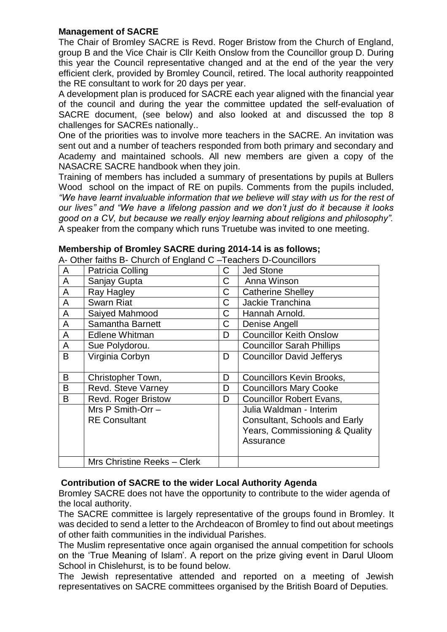#### **Management of SACRE**

The Chair of Bromley SACRE is Revd. Roger Bristow from the Church of England, group B and the Vice Chair is Cllr Keith Onslow from the Councillor group D. During this year the Council representative changed and at the end of the year the very efficient clerk, provided by Bromley Council, retired. The local authority reappointed the RE consultant to work for 20 days per year.

A development plan is produced for SACRE each year aligned with the financial year of the council and during the year the committee updated the self-evaluation of SACRE document, (see below) and also looked at and discussed the top 8 challenges for SACREs nationally..

One of the priorities was to involve more teachers in the SACRE. An invitation was sent out and a number of teachers responded from both primary and secondary and Academy and maintained schools. All new members are given a copy of the NASACRE SACRE handbook when they join.

Training of members has included a summary of presentations by pupils at Bullers Wood school on the impact of RE on pupils. Comments from the pupils included, *"We have learnt invaluable information that we believe will stay with us for the rest of our lives" and "We have a lifelong passion and we don't just do it because it looks good on a CV, but because we really enjoy learning about religions and philosophy".* A speaker from the company which runs Truetube was invited to one meeting.

|   | We can alway be charged to England C |   | i cacilcio D Oculiciioio         |
|---|--------------------------------------|---|----------------------------------|
| A | Patricia Colling                     | C | <b>Jed Stone</b>                 |
| A | Sanjay Gupta                         | C | Anna Winson                      |
| A | Ray Hagley                           | C | <b>Catherine Shelley</b>         |
| A | <b>Swarn Riat</b>                    | C | Jackie Tranchina                 |
| A | Saiyed Mahmood                       | C | Hannah Arnold.                   |
| A | Samantha Barnett                     | C | Denise Angell                    |
| A | <b>Edlene Whitman</b>                | D | <b>Councillor Keith Onslow</b>   |
| A | Sue Polydorou.                       |   | <b>Councillor Sarah Phillips</b> |
| B | Virginia Corbyn                      | D | <b>Councillor David Jefferys</b> |
| B | Christopher Town,                    | D | Councillors Kevin Brooks,        |
| B | Revd. Steve Varney                   | D | <b>Councillors Mary Cooke</b>    |
| B | <b>Revd. Roger Bristow</b>           | D | <b>Councillor Robert Evans,</b>  |
|   | Mrs $P$ Smith-Orr $-$                |   | Julia Waldman - Interim          |
|   | <b>RE Consultant</b>                 |   | Consultant, Schools and Early    |
|   |                                      |   | Years, Commissioning & Quality   |
|   |                                      |   | Assurance                        |
|   |                                      |   |                                  |
|   | Mrs Christine Reeks - Clerk          |   |                                  |

#### **Membership of Bromley SACRE during 2014-14 is as follows;**

A- Other faiths B- Church of England C –Teachers D-Councillors

#### **Contribution of SACRE to the wider Local Authority Agenda**

Bromley SACRE does not have the opportunity to contribute to the wider agenda of the local authority.

The SACRE committee is largely representative of the groups found in Bromley. It was decided to send a letter to the Archdeacon of Bromley to find out about meetings of other faith communities in the individual Parishes.

The Muslim representative once again organised the annual competition for schools on the 'True Meaning of Islam'. A report on the prize giving event in Darul Uloom School in Chislehurst, is to be found below.

The Jewish representative attended and reported on a meeting of Jewish representatives on SACRE committees organised by the British Board of Deputies.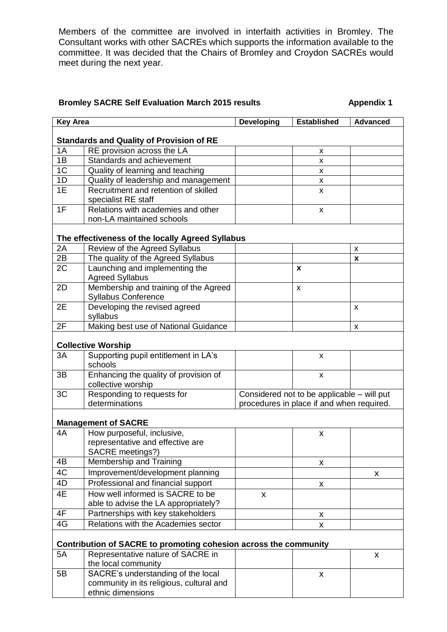Members of the committee are involved in interfaith activities in Bromley. The Consultant works with other SACREs which supports the information available to the committee. It was decided that the Chairs of Bromley and Croydon SACREs would meet during the next year.

#### **Bromley SACRE Self Evaluation March 2015 results Appendix 1**

| <b>Key Area</b> |                                                                  | <b>Developing</b>                                                                       | <b>Established</b> | <b>Advanced</b> |  |
|-----------------|------------------------------------------------------------------|-----------------------------------------------------------------------------------------|--------------------|-----------------|--|
|                 |                                                                  |                                                                                         |                    |                 |  |
|                 | <b>Standards and Quality of Provision of RE</b>                  |                                                                                         |                    |                 |  |
| 1A              | RE provision across the LA                                       |                                                                                         | X                  |                 |  |
| 1B              | Standards and achievement                                        |                                                                                         | X                  |                 |  |
| 1 <sup>C</sup>  | Quality of learning and teaching                                 |                                                                                         | X                  |                 |  |
| 1D              | Quality of leadership and management                             |                                                                                         | X                  |                 |  |
| 1E              | Recruitment and retention of skilled                             |                                                                                         | X                  |                 |  |
|                 | specialist RE staff                                              |                                                                                         |                    |                 |  |
| 1F              | Relations with academies and other                               |                                                                                         | X                  |                 |  |
|                 | non-LA maintained schools                                        |                                                                                         |                    |                 |  |
|                 | The effectiveness of the locally Agreed Syllabus                 |                                                                                         |                    |                 |  |
| 2A              | Review of the Agreed Syllabus                                    |                                                                                         |                    | X               |  |
| 2B              | The quality of the Agreed Syllabus                               |                                                                                         |                    | X               |  |
| 2C              | Launching and implementing the                                   |                                                                                         | X                  |                 |  |
|                 | <b>Agreed Syllabus</b>                                           |                                                                                         |                    |                 |  |
| 2D              | Membership and training of the Agreed                            |                                                                                         | X                  |                 |  |
|                 | <b>Syllabus Conference</b>                                       |                                                                                         |                    |                 |  |
| 2E              | Developing the revised agreed                                    |                                                                                         |                    | x               |  |
|                 | syllabus                                                         |                                                                                         |                    |                 |  |
| 2F              | Making best use of National Guidance                             |                                                                                         |                    | X               |  |
|                 |                                                                  |                                                                                         |                    |                 |  |
|                 | <b>Collective Worship</b>                                        |                                                                                         |                    |                 |  |
| 3A              | Supporting pupil entitlement in LA's                             |                                                                                         | X                  |                 |  |
|                 | schools                                                          |                                                                                         |                    |                 |  |
| 3B              | Enhancing the quality of provision of<br>collective worship      |                                                                                         | X                  |                 |  |
| 3C              | Responding to requests for                                       |                                                                                         |                    |                 |  |
|                 | determinations                                                   | Considered not to be applicable - will put<br>procedures in place if and when required. |                    |                 |  |
|                 |                                                                  |                                                                                         |                    |                 |  |
|                 | <b>Management of SACRE</b>                                       |                                                                                         |                    |                 |  |
| 4A              | How purposeful, inclusive,                                       |                                                                                         | X                  |                 |  |
|                 | representative and effective are                                 |                                                                                         |                    |                 |  |
|                 | SACRE meetings?)                                                 |                                                                                         |                    |                 |  |
| 4B              | Membership and Training                                          |                                                                                         | X                  |                 |  |
| 4C              | Improvement/development planning                                 |                                                                                         |                    | X               |  |
| 4D              | Professional and financial support                               |                                                                                         | $\pmb{\mathsf{X}}$ |                 |  |
| 4E              | How well informed is SACRE to be                                 | $\mathsf{x}$                                                                            |                    |                 |  |
|                 | able to advise the LA appropriately?                             |                                                                                         |                    |                 |  |
| 4F              | Partnerships with key stakeholders                               |                                                                                         | X                  |                 |  |
| 4G              | Relations with the Academies sector                              |                                                                                         | X                  |                 |  |
|                 |                                                                  |                                                                                         |                    |                 |  |
|                 | Contribution of SACRE to promoting cohesion across the community |                                                                                         |                    |                 |  |
| 5A              | Representative nature of SACRE in                                |                                                                                         |                    | X               |  |
|                 | the local community                                              |                                                                                         |                    |                 |  |
| 5B              | SACRE's understanding of the local                               |                                                                                         | $\pmb{\mathsf{X}}$ |                 |  |
|                 | community in its religious, cultural and                         |                                                                                         |                    |                 |  |
|                 | ethnic dimensions                                                |                                                                                         |                    |                 |  |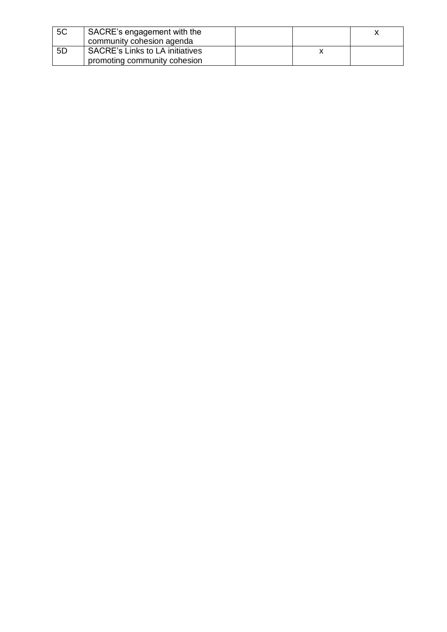| 5C | SACRE's engagement with the<br>community cohesion agenda |  |  |
|----|----------------------------------------------------------|--|--|
| 5D | <b>SACRE's Links to LA initiatives</b>                   |  |  |
|    | promoting community cohesion                             |  |  |